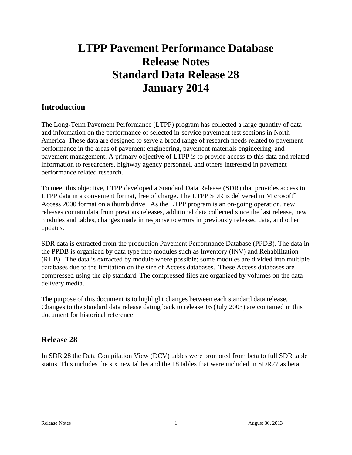# **LTPP Pavement Performance Database Release Notes Standard Data Release 28 January 2014**

# **Introduction**

The Long-Term Pavement Performance (LTPP) program has collected a large quantity of data and information on the performance of selected in-service pavement test sections in North America. These data are designed to serve a broad range of research needs related to pavement performance in the areas of pavement engineering, pavement materials engineering, and pavement management. A primary objective of LTPP is to provide access to this data and related information to researchers, highway agency personnel, and others interested in pavement performance related research.

To meet this objective, LTPP developed a Standard Data Release (SDR) that provides access to LTPP data in a convenient format, free of charge. The LTPP SDR is delivered in Microsoft<sup>®</sup> Access 2000 format on a thumb drive. As the LTPP program is an on-going operation, new releases contain data from previous releases, additional data collected since the last release, new modules and tables, changes made in response to errors in previously released data, and other updates.

SDR data is extracted from the production Pavement Performance Database (PPDB). The data in the PPDB is organized by data type into modules such as Inventory (INV) and Rehabilitation (RHB). The data is extracted by module where possible; some modules are divided into multiple databases due to the limitation on the size of Access databases. These Access databases are compressed using the zip standard. The compressed files are organized by volumes on the data delivery media.

The purpose of this document is to highlight changes between each standard data release. Changes to the standard data release dating back to release 16 (July 2003) are contained in this document for historical reference.

### **Release 28**

In SDR 28 the Data Compilation View (DCV) tables were promoted from beta to full SDR table status. This includes the six new tables and the 18 tables that were included in SDR27 as beta.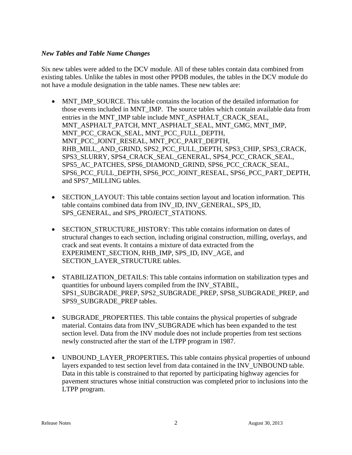#### *New Tables and Table Name Changes*

Six new tables were added to the DCV module. All of these tables contain data combined from existing tables. Unlike the tables in most other PPDB modules, the tables in the DCV module do not have a module designation in the table names. These new tables are:

- MNT IMP SOURCE. This table contains the location of the detailed information for those events included in MNT\_IMP. The source tables which contain available data from entries in the MNT\_IMP table include MNT\_ASPHALT\_CRACK\_SEAL, MNT\_ASPHALT\_PATCH, MNT\_ASPHALT\_SEAL, MNT\_GMG, MNT\_IMP, MNT\_PCC\_CRACK\_SEAL, MNT\_PCC\_FULL\_DEPTH, MNT\_PCC\_JOINT\_RESEAL, MNT\_PCC\_PART\_DEPTH, RHB\_MILL\_AND\_GRIND, SPS2\_PCC\_FULL\_DEPTH, SPS3\_CHIP, SPS3\_CRACK, SPS3\_SLURRY, SPS4\_CRACK\_SEAL\_GENERAL, SPS4\_PCC\_CRACK\_SEAL, SPS5\_AC\_PATCHES, SPS6\_DIAMOND\_GRIND, SPS6\_PCC\_CRACK\_SEAL, SPS6\_PCC\_FULL\_DEPTH, SPS6\_PCC\_JOINT\_RESEAL, SPS6\_PCC\_PART\_DEPTH, and SPS7\_MILLING tables.
- SECTION\_LAYOUT: This table contains section layout and location information. This table contains combined data from INV\_ID, INV\_GENERAL, SPS\_ID, SPS\_GENERAL, and SPS\_PROJECT\_STATIONS.
- SECTION STRUCTURE HISTORY: This table contains information on dates of structural changes to each section, including original construction, milling, overlays, and crack and seat events. It contains a mixture of data extracted from the EXPERIMENT\_SECTION, RHB\_IMP, SPS\_ID, INV\_AGE, and SECTION\_LAYER\_STRUCTURE tables.
- STABILIZATION DETAILS: This table contains information on stabilization types and quantities for unbound layers compiled from the INV\_STABIL, SPS1\_SUBGRADE\_PREP, SPS2\_SUBGRADE\_PREP, SPS8\_SUBGRADE\_PREP, and SPS9\_SUBGRADE\_PREP tables.
- SUBGRADE PROPERTIES. This table contains the physical properties of subgrade material. Contains data from INV\_SUBGRADE which has been expanded to the test section level. Data from the INV module does not include properties from test sections newly constructed after the start of the LTPP program in 1987.
- UNBOUND\_LAYER\_PROPERTIES**.** This table contains physical properties of unbound layers expanded to test section level from data contained in the INV\_UNBOUND table. Data in this table is constrained to that reported by participating highway agencies for pavement structures whose initial construction was completed prior to inclusions into the LTPP program.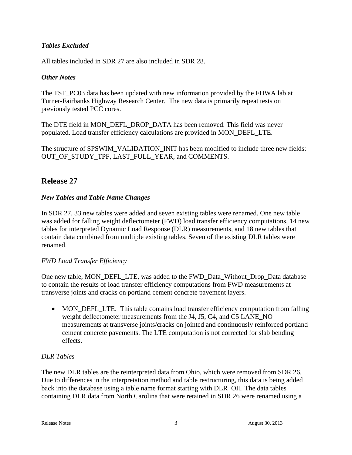### *Tables Excluded*

All tables included in SDR 27 are also included in SDR 28.

### *Other Notes*

The TST\_PC03 data has been updated with new information provided by the FHWA lab at Turner-Fairbanks Highway Research Center. The new data is primarily repeat tests on previously tested PCC cores.

The DTE field in MON\_DEFL\_DROP\_DATA has been removed. This field was never populated. Load transfer efficiency calculations are provided in MON\_DEFL\_LTE.

The structure of SPSWIM\_VALIDATION\_INIT has been modified to include three new fields: OUT\_OF\_STUDY\_TPF, LAST\_FULL\_YEAR, and COMMENTS.

# **Release 27**

### *New Tables and Table Name Changes*

In SDR 27, 33 new tables were added and seven existing tables were renamed. One new table was added for falling weight deflectometer (FWD) load transfer efficiency computations, 14 new tables for interpreted Dynamic Load Response (DLR) measurements, and 18 new tables that contain data combined from multiple existing tables. Seven of the existing DLR tables were renamed.

### *FWD Load Transfer Efficiency*

One new table, MON\_DEFL\_LTE, was added to the FWD\_Data\_Without\_Drop\_Data database to contain the results of load transfer efficiency computations from FWD measurements at transverse joints and cracks on portland cement concrete pavement layers.

• MON DEFL LTE. This table contains load transfer efficiency computation from falling weight deflectometer measurements from the J4, J5, C4, and C5 LANE\_NO measurements at transverse joints/cracks on jointed and continuously reinforced portland cement concrete pavements. The LTE computation is not corrected for slab bending effects.

### *DLR Tables*

The new DLR tables are the reinterpreted data from Ohio, which were removed from SDR 26. Due to differences in the interpretation method and table restructuring, this data is being added back into the database using a table name format starting with DLR\_OH. The data tables containing DLR data from North Carolina that were retained in SDR 26 were renamed using a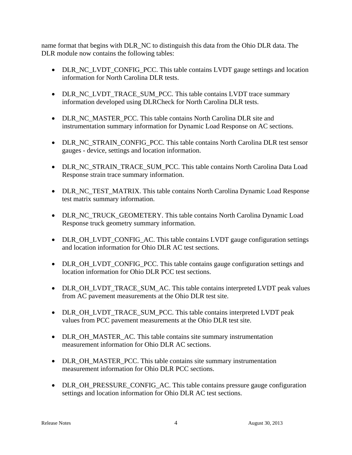name format that begins with DLR\_NC to distinguish this data from the Ohio DLR data. The DLR module now contains the following tables:

- DLR\_NC\_LVDT\_CONFIG\_PCC. This table contains LVDT gauge settings and location information for North Carolina DLR tests.
- DLR\_NC\_LVDT\_TRACE\_SUM\_PCC. This table contains LVDT trace summary information developed using DLRCheck for North Carolina DLR tests.
- DLR\_NC\_MASTER\_PCC. This table contains North Carolina DLR site and instrumentation summary information for Dynamic Load Response on AC sections.
- DLR\_NC\_STRAIN\_CONFIG\_PCC. This table contains North Carolina DLR test sensor gauges - device, settings and location information.
- DLR\_NC\_STRAIN\_TRACE\_SUM\_PCC. This table contains North Carolina Data Load Response strain trace summary information.
- DLR\_NC\_TEST\_MATRIX. This table contains North Carolina Dynamic Load Response test matrix summary information.
- DLR\_NC\_TRUCK\_GEOMETERY. This table contains North Carolina Dynamic Load Response truck geometry summary information.
- DLR\_OH\_LVDT\_CONFIG\_AC. This table contains LVDT gauge configuration settings and location information for Ohio DLR AC test sections.
- DLR\_OH\_LVDT\_CONFIG\_PCC. This table contains gauge configuration settings and location information for Ohio DLR PCC test sections.
- DLR\_OH\_LVDT\_TRACE\_SUM\_AC. This table contains interpreted LVDT peak values from AC pavement measurements at the Ohio DLR test site.
- DLR\_OH\_LVDT\_TRACE\_SUM\_PCC. This table contains interpreted LVDT peak values from PCC pavement measurements at the Ohio DLR test site.
- DLR\_OH\_MASTER\_AC. This table contains site summary instrumentation measurement information for Ohio DLR AC sections.
- DLR\_OH\_MASTER\_PCC. This table contains site summary instrumentation measurement information for Ohio DLR PCC sections.
- DLR\_OH\_PRESSURE\_CONFIG\_AC. This table contains pressure gauge configuration settings and location information for Ohio DLR AC test sections.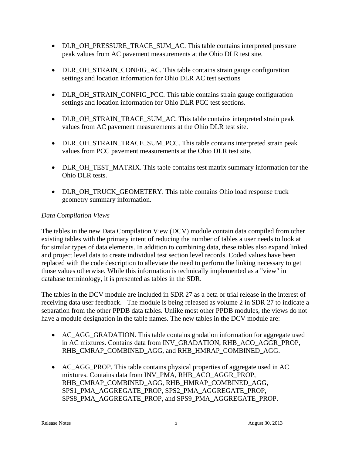- DLR\_OH\_PRESSURE\_TRACE\_SUM\_AC. This table contains interpreted pressure peak values from AC pavement measurements at the Ohio DLR test site.
- DLR OH STRAIN CONFIG AC. This table contains strain gauge configuration settings and location information for Ohio DLR AC test sections
- DLR\_OH\_STRAIN\_CONFIG\_PCC. This table contains strain gauge configuration settings and location information for Ohio DLR PCC test sections.
- DLR\_OH\_STRAIN\_TRACE\_SUM\_AC. This table contains interpreted strain peak values from AC pavement measurements at the Ohio DLR test site.
- DLR\_OH\_STRAIN\_TRACE\_SUM\_PCC. This table contains interpreted strain peak values from PCC pavement measurements at the Ohio DLR test site.
- DLR\_OH\_TEST\_MATRIX. This table contains test matrix summary information for the Ohio DLR tests.
- DLR\_OH\_TRUCK\_GEOMETERY. This table contains Ohio load response truck geometry summary information.

### *Data Compilation Views*

The tables in the new Data Compilation View (DCV) module contain data compiled from other existing tables with the primary intent of reducing the number of tables a user needs to look at for similar types of data elements. In addition to combining data, these tables also expand linked and project level data to create individual test section level records. Coded values have been replaced with the code description to alleviate the need to perform the linking necessary to get those values otherwise. While this information is technically implemented as a "view" in database terminology, it is presented as tables in the SDR.

The tables in the DCV module are included in SDR 27 as a beta or trial release in the interest of receiving data user feedback. The module is being released as volume 2 in SDR 27 to indicate a separation from the other PPDB data tables. Unlike most other PPDB modules, the views do not have a module designation in the table names. The new tables in the DCV module are:

- AC\_AGG\_GRADATION. This table contains gradation information for aggregate used in AC mixtures. Contains data from INV\_GRADATION, RHB\_ACO\_AGGR\_PROP, RHB\_CMRAP\_COMBINED\_AGG, and RHB\_HMRAP\_COMBINED\_AGG.
- AC AGG PROP. This table contains physical properties of aggregate used in AC mixtures. Contains data from INV\_PMA, RHB\_ACO\_AGGR\_PROP, RHB\_CMRAP\_COMBINED\_AGG, RHB\_HMRAP\_COMBINED\_AGG, SPS1\_PMA\_AGGREGATE\_PROP, SPS2\_PMA\_AGGREGATE\_PROP, SPS8\_PMA\_AGGREGATE\_PROP, and SPS9\_PMA\_AGGREGATE\_PROP.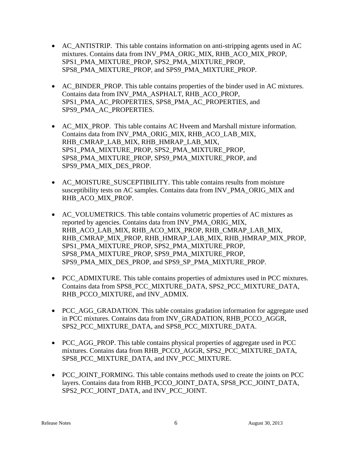- AC ANTISTRIP. This table contains information on anti-stripping agents used in AC mixtures. Contains data from INV\_PMA\_ORIG\_MIX, RHB\_ACO\_MIX\_PROP, SPS1\_PMA\_MIXTURE\_PROP, SPS2\_PMA\_MIXTURE\_PROP, SPS8\_PMA\_MIXTURE\_PROP, and SPS9\_PMA\_MIXTURE\_PROP.
- AC BINDER PROP. This table contains properties of the binder used in AC mixtures. Contains data from INV\_PMA\_ASPHALT, RHB\_ACO\_PROP, SPS1\_PMA\_AC\_PROPERTIES, SPS8\_PMA\_AC\_PROPERTIES, and SPS9\_PMA\_AC\_PROPERTIES.
- AC\_MIX\_PROP. This table contains AC Hveem and Marshall mixture information. Contains data from INV\_PMA\_ORIG\_MIX, RHB\_ACO\_LAB\_MIX, RHB\_CMRAP\_LAB\_MIX, RHB\_HMRAP\_LAB\_MIX, SPS1\_PMA\_MIXTURE\_PROP, SPS2\_PMA\_MIXTURE\_PROP, SPS8\_PMA\_MIXTURE\_PROP, SPS9\_PMA\_MIXTURE\_PROP, and SPS9\_PMA\_MIX\_DES\_PROP.
- AC\_MOISTURE\_SUSCEPTIBILITY. This table contains results from moisture susceptibility tests on AC samples. Contains data from INV\_PMA\_ORIG\_MIX and RHB\_ACO\_MIX\_PROP.
- AC\_VOLUMETRICS. This table contains volumetric properties of AC mixtures as reported by agencies. Contains data from INV\_PMA\_ORIG\_MIX, RHB\_ACO\_LAB\_MIX, RHB\_ACO\_MIX\_PROP, RHB\_CMRAP\_LAB\_MIX, RHB\_CMRAP\_MIX\_PROP, RHB\_HMRAP\_LAB\_MIX, RHB\_HMRAP\_MIX\_PROP, SPS1\_PMA\_MIXTURE\_PROP, SPS2\_PMA\_MIXTURE\_PROP, SPS8\_PMA\_MIXTURE\_PROP, SPS9\_PMA\_MIXTURE\_PROP, SPS9\_PMA\_MIX\_DES\_PROP, and SPS9\_SP\_PMA\_MIXTURE\_PROP.
- PCC\_ADMIXTURE. This table contains properties of admixtures used in PCC mixtures. Contains data from SPS8\_PCC\_MIXTURE\_DATA, SPS2\_PCC\_MIXTURE\_DATA, RHB\_PCCO\_MIXTURE, and INV\_ADMIX.
- PCC AGG GRADATION. This table contains gradation information for aggregate used in PCC mixtures. Contains data from INV\_GRADATION, RHB\_PCCO\_AGGR, SPS2\_PCC\_MIXTURE\_DATA, and SPS8\_PCC\_MIXTURE\_DATA.
- PCC\_AGG\_PROP. This table contains physical properties of aggregate used in PCC mixtures. Contains data from RHB\_PCCO\_AGGR, SPS2\_PCC\_MIXTURE\_DATA, SPS8\_PCC\_MIXTURE\_DATA, and INV\_PCC\_MIXTURE.
- PCC\_JOINT\_FORMING. This table contains methods used to create the joints on PCC layers. Contains data from RHB\_PCCO\_JOINT\_DATA, SPS8\_PCC\_JOINT\_DATA, SPS2\_PCC\_JOINT\_DATA, and INV\_PCC\_JOINT.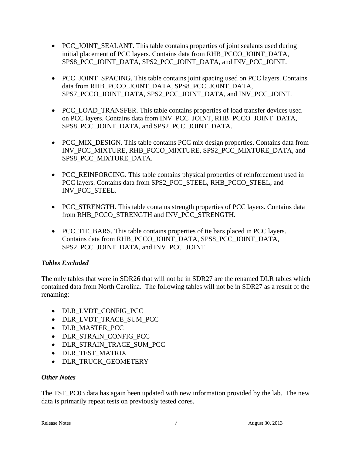- PCC JOINT SEALANT. This table contains properties of joint sealants used during initial placement of PCC layers. Contains data from RHB\_PCCO\_JOINT\_DATA, SPS8\_PCC\_JOINT\_DATA, SPS2\_PCC\_JOINT\_DATA, and INV\_PCC\_JOINT.
- PCC\_JOINT\_SPACING. This table contains joint spacing used on PCC layers. Contains data from RHB\_PCCO\_JOINT\_DATA, SPS8\_PCC\_JOINT\_DATA, SPS7\_PCCO\_JOINT\_DATA, SPS2\_PCC\_JOINT\_DATA, and INV\_PCC\_JOINT.
- PCC\_LOAD\_TRANSFER. This table contains properties of load transfer devices used on PCC layers. Contains data from INV\_PCC\_JOINT, RHB\_PCCO\_JOINT\_DATA, SPS8\_PCC\_JOINT\_DATA, and SPS2\_PCC\_JOINT\_DATA.
- PCC MIX DESIGN. This table contains PCC mix design properties. Contains data from INV\_PCC\_MIXTURE, RHB\_PCCO\_MIXTURE, SPS2\_PCC\_MIXTURE\_DATA, and SPS8\_PCC\_MIXTURE\_DATA.
- PCC\_REINFORCING. This table contains physical properties of reinforcement used in PCC layers. Contains data from SPS2\_PCC\_STEEL, RHB\_PCCO\_STEEL, and INV\_PCC\_STEEL.
- PCC\_STRENGTH. This table contains strength properties of PCC layers. Contains data from RHB\_PCCO\_STRENGTH and INV\_PCC\_STRENGTH.
- PCC TIE BARS. This table contains properties of tie bars placed in PCC layers. Contains data from RHB\_PCCO\_JOINT\_DATA, SPS8\_PCC\_JOINT\_DATA, SPS2\_PCC\_JOINT\_DATA, and INV\_PCC\_JOINT.

### *Tables Excluded*

The only tables that were in SDR26 that will not be in SDR27 are the renamed DLR tables which contained data from North Carolina. The following tables will not be in SDR27 as a result of the renaming:

- DLR LVDT CONFIG PCC
- DLR\_LVDT\_TRACE\_SUM\_PCC
- DLR MASTER PCC
- DLR\_STRAIN\_CONFIG\_PCC
- DLR STRAIN TRACE SUM PCC
- DLR TEST MATRIX
- DLR TRUCK GEOMETERY

### *Other Notes*

The TST\_PC03 data has again been updated with new information provided by the lab. The new data is primarily repeat tests on previously tested cores.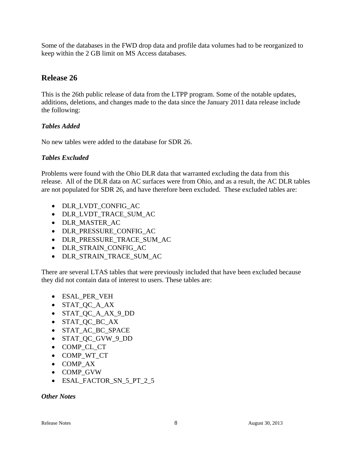Some of the databases in the FWD drop data and profile data volumes had to be reorganized to keep within the 2 GB limit on MS Access databases.

### **Release 26**

This is the 26th public release of data from the LTPP program. Some of the notable updates, additions, deletions, and changes made to the data since the January 2011 data release include the following:

### *Tables Added*

No new tables were added to the database for SDR 26.

### *Tables Excluded*

Problems were found with the Ohio DLR data that warranted excluding the data from this release. All of the DLR data on AC surfaces were from Ohio, and as a result, the AC DLR tables are not populated for SDR 26, and have therefore been excluded. These excluded tables are:

- DLR LVDT CONFIG AC
- DLR\_LVDT\_TRACE\_SUM\_AC
- DLR MASTER AC
- DLR\_PRESSURE\_CONFIG\_AC
- DLR\_PRESSURE\_TRACE\_SUM\_AC
- DLR\_STRAIN\_CONFIG\_AC
- DLR STRAIN TRACE SUM AC

There are several LTAS tables that were previously included that have been excluded because they did not contain data of interest to users. These tables are:

- ESAL\_PER\_VEH
- STAT OC A AX
- STAT OC A AX 9 DD
- STAT\_QC\_BC\_AX
- STAT\_AC\_BC\_SPACE
- STAT QC GVW 9 DD
- COMP\_CL\_CT
- COMP\_WT\_CT
- COMP AX
- COMP GVW
- ESAL\_FACTOR\_SN\_5\_PT\_2\_5

*Other Notes*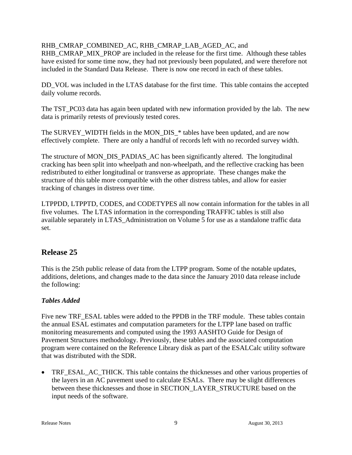### RHB\_CMRAP\_COMBINED\_AC, RHB\_CMRAP\_LAB\_AGED\_AC, and

RHB\_CMRAP\_MIX\_PROP are included in the release for the first time. Although these tables have existed for some time now, they had not previously been populated, and were therefore not included in the Standard Data Release. There is now one record in each of these tables.

DD\_VOL was included in the LTAS database for the first time. This table contains the accepted daily volume records.

The TST PC03 data has again been updated with new information provided by the lab. The new data is primarily retests of previously tested cores.

The SURVEY\_WIDTH fields in the MON\_DIS\_\* tables have been updated, and are now effectively complete. There are only a handful of records left with no recorded survey width.

The structure of MON\_DIS\_PADIAS\_AC has been significantly altered. The longitudinal cracking has been split into wheelpath and non-wheelpath, and the reflective cracking has been redistributed to either longitudinal or transverse as appropriate. These changes make the structure of this table more compatible with the other distress tables, and allow for easier tracking of changes in distress over time.

LTPPDD, LTPPTD, CODES, and CODETYPES all now contain information for the tables in all five volumes. The LTAS information in the corresponding TRAFFIC tables is still also available separately in LTAS\_Administration on Volume 5 for use as a standalone traffic data set.

# **Release 25**

This is the 25th public release of data from the LTPP program. Some of the notable updates, additions, deletions, and changes made to the data since the January 2010 data release include the following:

# *Tables Added*

Five new TRF\_ESAL tables were added to the PPDB in the TRF module. These tables contain the annual ESAL estimates and computation parameters for the LTPP lane based on traffic monitoring measurements and computed using the 1993 AASHTO Guide for Design of Pavement Structures methodology. Previously, these tables and the associated computation program were contained on the Reference Library disk as part of the ESALCalc utility software that was distributed with the SDR.

• TRF\_ESAL\_AC\_THICK. This table contains the thicknesses and other various properties of the layers in an AC pavement used to calculate ESALs. There may be slight differences between these thicknesses and those in SECTION\_LAYER\_STRUCTURE based on the input needs of the software.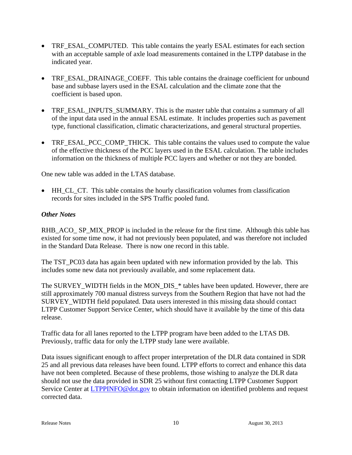- TRF\_ESAL\_COMPUTED. This table contains the yearly ESAL estimates for each section with an acceptable sample of axle load measurements contained in the LTPP database in the indicated year.
- TRF\_ESAL\_DRAINAGE\_COEFF. This table contains the drainage coefficient for unbound base and subbase layers used in the ESAL calculation and the climate zone that the coefficient is based upon.
- TRF\_ESAL\_INPUTS\_SUMMARY. This is the master table that contains a summary of all of the input data used in the annual ESAL estimate. It includes properties such as pavement type, functional classification, climatic characterizations, and general structural properties.
- TRF\_ESAL\_PCC\_COMP\_THICK. This table contains the values used to compute the value of the effective thickness of the PCC layers used in the ESAL calculation. The table includes information on the thickness of multiple PCC layers and whether or not they are bonded.

One new table was added in the LTAS database.

 HH\_CL\_CT. This table contains the hourly classification volumes from classification records for sites included in the SPS Traffic pooled fund.

### *Other Notes*

RHB\_ACO\_ SP\_MIX\_PROP is included in the release for the first time. Although this table has existed for some time now, it had not previously been populated, and was therefore not included in the Standard Data Release. There is now one record in this table.

The TST\_PC03 data has again been updated with new information provided by the lab. This includes some new data not previously available, and some replacement data.

The SURVEY\_WIDTH fields in the MON\_DIS\_\* tables have been updated. However, there are still approximately 700 manual distress surveys from the Southern Region that have not had the SURVEY\_WIDTH field populated. Data users interested in this missing data should contact LTPP Customer Support Service Center, which should have it available by the time of this data release.

Traffic data for all lanes reported to the LTPP program have been added to the LTAS DB. Previously, traffic data for only the LTPP study lane were available.

Data issues significant enough to affect proper interpretation of the DLR data contained in SDR 25 and all previous data releases have been found. LTPP efforts to correct and enhance this data have not been completed. Because of these problems, those wishing to analyze the DLR data should not use the data provided in SDR 25 without first contacting LTPP Customer Support Service Center at LTPPINFO@dot.gov to obtain information on identified problems and request corrected data.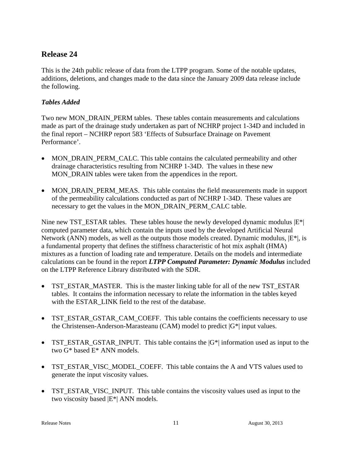## **Release 24**

This is the 24th public release of data from the LTPP program. Some of the notable updates, additions, deletions, and changes made to the data since the January 2009 data release include the following.

### *Tables Added*

Two new MON\_DRAIN\_PERM tables. These tables contain measurements and calculations made as part of the drainage study undertaken as part of NCHRP project 1-34D and included in the final report – NCHRP report 583 'Effects of Subsurface Drainage on Pavement Performance'.

- MON\_DRAIN\_PERM\_CALC. This table contains the calculated permeability and other drainage characteristics resulting from NCHRP 1-34D. The values in these new MON DRAIN tables were taken from the appendices in the report.
- MON DRAIN PERM MEAS. This table contains the field measurements made in support of the permeability calculations conducted as part of NCHRP 1-34D. These values are necessary to get the values in the MON\_DRAIN\_PERM\_CALC table.

Nine new TST\_ESTAR tables. These tables house the newly developed dynamic modulus  $|E^*|$ computed parameter data, which contain the inputs used by the developed Artificial Neural Network (ANN) models, as well as the outputs those models created. Dynamic modulus,  $|E^*|$ , is a fundamental property that defines the stiffness characteristic of hot mix asphalt (HMA) mixtures as a function of loading rate and temperature. Details on the models and intermediate calculations can be found in the report *LTPP Computed Parameter: Dynamic Modulus* included on the LTPP Reference Library distributed with the SDR.

- TST\_ESTAR\_MASTER. This is the master linking table for all of the new TST\_ESTAR tables. It contains the information necessary to relate the information in the tables keyed with the ESTAR\_LINK field to the rest of the database.
- TST\_ESTAR\_GSTAR\_CAM\_COEFF. This table contains the coefficients necessary to use the Christensen-Anderson-Marasteanu (CAM) model to predict  $|G^*|$  input values.
- TST\_ESTAR\_GSTAR\_INPUT. This table contains the  $|G^*|$  information used as input to the two G\* based E\* ANN models.
- TST\_ESTAR\_VISC\_MODEL\_COEFF. This table contains the A and VTS values used to generate the input viscosity values.
- TST\_ESTAR\_VISC\_INPUT. This table contains the viscosity values used as input to the two viscosity based |E\*| ANN models.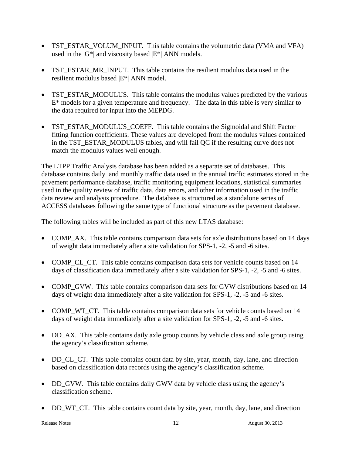- TST\_ESTAR\_VOLUM\_INPUT. This table contains the volumetric data (VMA and VFA) used in the  $|G^*|$  and viscosity based  $|E^*|$  ANN models.
- TST ESTAR MR INPUT. This table contains the resilient modulus data used in the resilient modulus based |E\*| ANN model.
- TST\_ESTAR\_MODULUS. This table contains the modulus values predicted by the various  $E^*$  models for a given temperature and frequency. The data in this table is very similar to the data required for input into the MEPDG.
- TST\_ESTAR\_MODULUS\_COEFF. This table contains the Sigmoidal and Shift Factor fitting function coefficients. These values are developed from the modulus values contained in the TST\_ESTAR\_MODULUS tables, and will fail QC if the resulting curve does not match the modulus values well enough.

The LTPP Traffic Analysis database has been added as a separate set of databases. This database contains daily and monthly traffic data used in the annual traffic estimates stored in the pavement performance database, traffic monitoring equipment locations, statistical summaries used in the quality review of traffic data, data errors, and other information used in the traffic data review and analysis procedure. The database is structured as a standalone series of ACCESS databases following the same type of functional structure as the pavement database.

The following tables will be included as part of this new LTAS database:

- COMP AX. This table contains comparison data sets for axle distributions based on 14 days of weight data immediately after a site validation for SPS-1, -2, -5 and -6 sites.
- COMP\_CL\_CT. This table contains comparison data sets for vehicle counts based on 14 days of classification data immediately after a site validation for SPS-1, -2, -5 and -6 sites.
- COMP\_GVW. This table contains comparison data sets for GVW distributions based on 14 days of weight data immediately after a site validation for SPS-1, -2, -5 and -6 sites.
- COMP WT CT. This table contains comparison data sets for vehicle counts based on 14 days of weight data immediately after a site validation for SPS-1, -2, -5 and -6 sites.
- DD AX. This table contains daily axle group counts by vehicle class and axle group using the agency's classification scheme.
- DD\_CL\_CT. This table contains count data by site, year, month, day, lane, and direction based on classification data records using the agency's classification scheme.
- DD\_GVW. This table contains daily GWV data by vehicle class using the agency's classification scheme.
- DD WT CT. This table contains count data by site, year, month, day, lane, and direction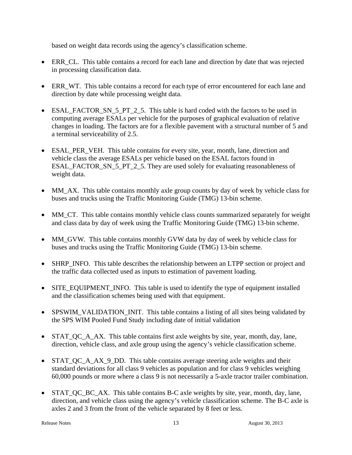based on weight data records using the agency's classification scheme.

- ERR\_CL. This table contains a record for each lane and direction by date that was rejected in processing classification data.
- ERR WT. This table contains a record for each type of error encountered for each lane and direction by date while processing weight data.
- ESAL\_FACTOR\_SN\_5\_PT\_2\_5. This table is hard coded with the factors to be used in computing average ESALs per vehicle for the purposes of graphical evaluation of relative changes in loading. The factors are for a flexible pavement with a structural number of 5 and a terminal serviceability of 2.5.
- ESAL\_PER\_VEH. This table contains for every site, year, month, lane, direction and vehicle class the average ESALs per vehicle based on the ESAL factors found in ESAL\_FACTOR\_SN\_5\_PT\_2\_5. They are used solely for evaluating reasonableness of weight data.
- MM\_AX. This table contains monthly axle group counts by day of week by vehicle class for buses and trucks using the Traffic Monitoring Guide (TMG) 13-bin scheme.
- MM\_CT. This table contains monthly vehicle class counts summarized separately for weight and class data by day of week using the Traffic Monitoring Guide (TMG) 13-bin scheme.
- MM\_GVW. This table contains monthly GVW data by day of week by vehicle class for buses and trucks using the Traffic Monitoring Guide (TMG) 13-bin scheme.
- SHRP\_INFO. This table describes the relationship between an LTPP section or project and the traffic data collected used as inputs to estimation of pavement loading.
- SITE\_EQUIPMENT\_INFO. This table is used to identify the type of equipment installed and the classification schemes being used with that equipment.
- SPSWIM\_VALIDATION\_INIT. This table contains a listing of all sites being validated by the SPS WIM Pooled Fund Study including date of initial validation
- STAT QC A AX. This table contains first axle weights by site, year, month, day, lane, direction, vehicle class, and axle group using the agency's vehicle classification scheme.
- STAT QC A AX 9 DD. This table contains average steering axle weights and their standard deviations for all class 9 vehicles as population and for class 9 vehicles weighing 60,000 pounds or more where a class 9 is not necessarily a 5-axle tractor trailer combination.
- STAT QC BC AX. This table contains B-C axle weights by site, year, month, day, lane, direction, and vehicle class using the agency's vehicle classification scheme. The B-C axle is axles 2 and 3 from the front of the vehicle separated by 8 feet or less.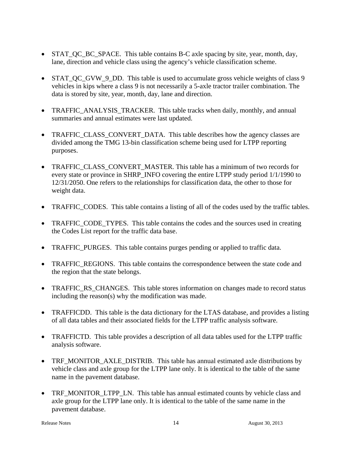- STAT\_QC\_BC\_SPACE. This table contains B-C axle spacing by site, year, month, day, lane, direction and vehicle class using the agency's vehicle classification scheme.
- STAT\_QC\_GVW\_9\_DD. This table is used to accumulate gross vehicle weights of class 9 vehicles in kips where a class 9 is not necessarily a 5-axle tractor trailer combination. The data is stored by site, year, month, day, lane and direction.
- TRAFFIC\_ANALYSIS\_TRACKER. This table tracks when daily, monthly, and annual summaries and annual estimates were last updated.
- TRAFFIC CLASS CONVERT DATA. This table describes how the agency classes are divided among the TMG 13-bin classification scheme being used for LTPP reporting purposes.
- TRAFFIC CLASS CONVERT MASTER. This table has a minimum of two records for every state or province in SHRP\_INFO covering the entire LTPP study period 1/1/1990 to 12/31/2050. One refers to the relationships for classification data, the other to those for weight data.
- TRAFFIC\_CODES. This table contains a listing of all of the codes used by the traffic tables.
- TRAFFIC\_CODE\_TYPES. This table contains the codes and the sources used in creating the Codes List report for the traffic data base.
- TRAFFIC PURGES. This table contains purges pending or applied to traffic data.
- TRAFFIC REGIONS. This table contains the correspondence between the state code and the region that the state belongs.
- TRAFFIC RS CHANGES. This table stores information on changes made to record status including the reason(s) why the modification was made.
- TRAFFICDD. This table is the data dictionary for the LTAS database, and provides a listing of all data tables and their associated fields for the LTPP traffic analysis software.
- TRAFFICTD. This table provides a description of all data tables used for the LTPP traffic analysis software.
- TRF MONITOR AXLE DISTRIB. This table has annual estimated axle distributions by vehicle class and axle group for the LTPP lane only. It is identical to the table of the same name in the pavement database.
- TRF\_MONITOR\_LTPP\_LN. This table has annual estimated counts by vehicle class and axle group for the LTPP lane only. It is identical to the table of the same name in the pavement database.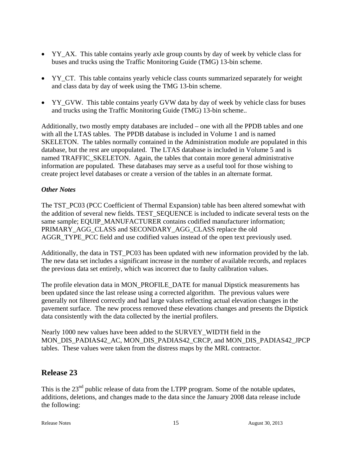- YY\_AX. This table contains yearly axle group counts by day of week by vehicle class for buses and trucks using the Traffic Monitoring Guide (TMG) 13-bin scheme.
- YY\_CT. This table contains yearly vehicle class counts summarized separately for weight and class data by day of week using the TMG 13-bin scheme.
- YY GVW. This table contains yearly GVW data by day of week by vehicle class for buses and trucks using the Traffic Monitoring Guide (TMG) 13-bin scheme..

Additionally, two mostly empty databases are included – one with all the PPDB tables and one with all the LTAS tables. The PPDB database is included in Volume 1 and is named SKELETON. The tables normally contained in the Administration module are populated in this database, but the rest are unpopulated. The LTAS database is included in Volume 5 and is named TRAFFIC\_SKELETON. Again, the tables that contain more general administrative information are populated. These databases may serve as a useful tool for those wishing to create project level databases or create a version of the tables in an alternate format.

### *Other Notes*

The TST\_PC03 (PCC Coefficient of Thermal Expansion) table has been altered somewhat with the addition of several new fields. TEST\_SEQUENCE is included to indicate several tests on the same sample; EQUIP\_MANUFACTURER contains codified manufacturer information; PRIMARY\_AGG\_CLASS and SECONDARY\_AGG\_CLASS replace the old AGGR\_TYPE\_PCC field and use codified values instead of the open text previously used.

Additionally, the data in TST\_PC03 has been updated with new information provided by the lab. The new data set includes a significant increase in the number of available records, and replaces the previous data set entirely, which was incorrect due to faulty calibration values.

The profile elevation data in MON\_PROFILE\_DATE for manual Dipstick measurements has been updated since the last release using a corrected algorithm. The previous values were generally not filtered correctly and had large values reflecting actual elevation changes in the pavement surface. The new process removed these elevations changes and presents the Dipstick data consistently with the data collected by the inertial profilers.

Nearly 1000 new values have been added to the SURVEY\_WIDTH field in the MON\_DIS\_PADIAS42\_AC, MON\_DIS\_PADIAS42\_CRCP, and MON\_DIS\_PADIAS42\_JPCP tables. These values were taken from the distress maps by the MRL contractor.

### **Release 23**

This is the 23<sup>nd</sup> public release of data from the LTPP program. Some of the notable updates, additions, deletions, and changes made to the data since the January 2008 data release include the following: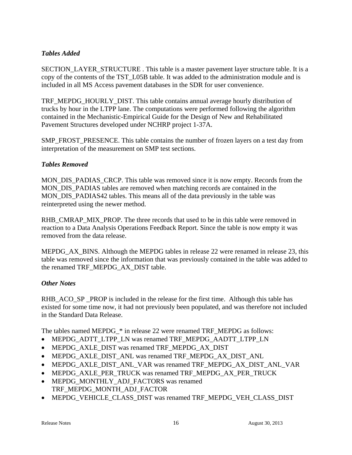### *Tables Added*

SECTION\_LAYER\_STRUCTURE . This table is a master pavement layer structure table. It is a copy of the contents of the TST\_L05B table. It was added to the administration module and is included in all MS Access pavement databases in the SDR for user convenience.

TRF\_MEPDG\_HOURLY\_DIST. This table contains annual average hourly distribution of trucks by hour in the LTPP lane. The computations were performed following the algorithm contained in the Mechanistic-Empirical Guide for the Design of New and Rehabilitated Pavement Structures developed under NCHRP project 1-37A.

SMP\_FROST\_PRESENCE. This table contains the number of frozen layers on a test day from interpretation of the measurement on SMP test sections.

### *Tables Removed*

MON\_DIS\_PADIAS\_CRCP. This table was removed since it is now empty. Records from the MON DIS PADIAS tables are removed when matching records are contained in the MON\_DIS\_PADIAS42 tables. This means all of the data previously in the table was reinterpreted using the newer method.

RHB\_CMRAP\_MIX\_PROP. The three records that used to be in this table were removed in reaction to a Data Analysis Operations Feedback Report. Since the table is now empty it was removed from the data release.

MEPDG AX BINS. Although the MEPDG tables in release 22 were renamed in release 23, this table was removed since the information that was previously contained in the table was added to the renamed TRF\_MEPDG\_AX\_DIST table.

### *Other Notes*

RHB\_ACO\_SP \_PROP is included in the release for the first time. Although this table has existed for some time now, it had not previously been populated, and was therefore not included in the Standard Data Release.

The tables named MEPDG\_\* in release 22 were renamed TRF\_MEPDG as follows:

- MEPDG\_ADTT\_LTPP\_LN was renamed TRF\_MEPDG\_AADTT\_LTPP\_LN
- MEPDG\_AXLE\_DIST was renamed TRF\_MEPDG\_AX\_DIST
- MEPDG\_AXLE\_DIST\_ANL was renamed TRF\_MEPDG\_AX\_DIST\_ANL
- MEPDG\_AXLE\_DIST\_ANL\_VAR was renamed TRF\_MEPDG\_AX\_DIST\_ANL\_VAR
- MEPDG\_AXLE\_PER\_TRUCK was renamed TRF\_MEPDG\_AX\_PER\_TRUCK
- MEPDG\_MONTHLY\_ADJ\_FACTORS was renamed TRF\_MEPDG\_MONTH\_ADJ\_FACTOR
- MEPDG\_VEHICLE\_CLASS\_DIST was renamed TRF\_MEPDG\_VEH\_CLASS\_DIST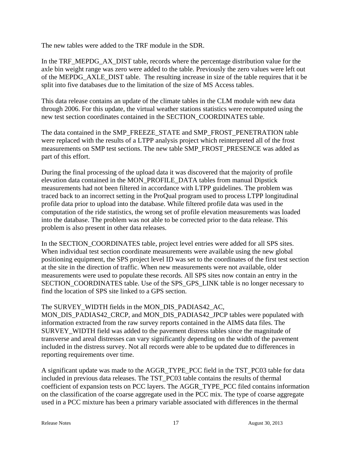The new tables were added to the TRF module in the SDR.

In the TRF\_MEPDG\_AX\_DIST table, records where the percentage distribution value for the axle bin weight range was zero were added to the table. Previously the zero values were left out of the MEPDG\_AXLE\_DIST table. The resulting increase in size of the table requires that it be split into five databases due to the limitation of the size of MS Access tables.

This data release contains an update of the climate tables in the CLM module with new data through 2006. For this update, the virtual weather stations statistics were recomputed using the new test section coordinates contained in the SECTION\_COORDINATES table.

The data contained in the SMP\_FREEZE\_STATE and SMP\_FROST\_PENETRATION table were replaced with the results of a LTPP analysis project which reinterpreted all of the frost measurements on SMP test sections. The new table SMP\_FROST\_PRESENCE was added as part of this effort.

During the final processing of the upload data it was discovered that the majority of profile elevation data contained in the MON\_PROFILE\_DATA tables from manual Dipstick measurements had not been filtered in accordance with LTPP guidelines. The problem was traced back to an incorrect setting in the ProQual program used to process LTPP longitudinal profile data prior to upload into the database. While filtered profile data was used in the computation of the ride statistics, the wrong set of profile elevation measurements was loaded into the database. The problem was not able to be corrected prior to the data release. This problem is also present in other data releases.

In the SECTION\_COORDINATES table, project level entries were added for all SPS sites. When individual test section coordinate measurements were available using the new global positioning equipment, the SPS project level ID was set to the coordinates of the first test section at the site in the direction of traffic. When new measurements were not available, older measurements were used to populate these records. All SPS sites now contain an entry in the SECTION\_COORDINATES table. Use of the SPS\_GPS\_LINK table is no longer necessary to find the location of SPS site linked to a GPS section.

The SURVEY WIDTH fields in the MON\_DIS\_PADIAS42\_AC,

MON\_DIS\_PADIAS42\_CRCP, and MON\_DIS\_PADIAS42\_JPCP tables were populated with information extracted from the raw survey reports contained in the AIMS data files. The SURVEY\_WIDTH field was added to the pavement distress tables since the magnitude of transverse and areal distresses can vary significantly depending on the width of the pavement included in the distress survey. Not all records were able to be updated due to differences in reporting requirements over time.

A significant update was made to the AGGR\_TYPE\_PCC field in the TST\_PC03 table for data included in previous data releases. The TST\_PC03 table contains the results of thermal coefficient of expansion tests on PCC layers. The AGGR\_TYPE\_PCC filed contains information on the classification of the coarse aggregate used in the PCC mix. The type of coarse aggregate used in a PCC mixture has been a primary variable associated with differences in the thermal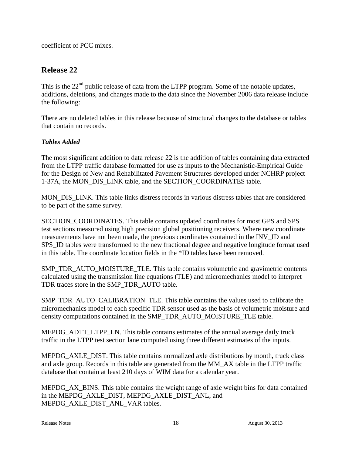coefficient of PCC mixes.

# **Release 22**

This is the  $22<sup>nd</sup>$  public release of data from the LTPP program. Some of the notable updates, additions, deletions, and changes made to the data since the November 2006 data release include the following:

There are no deleted tables in this release because of structural changes to the database or tables that contain no records.

### *Tables Added*

The most significant addition to data release 22 is the addition of tables containing data extracted from the LTPP traffic database formatted for use as inputs to the Mechanistic-Empirical Guide for the Design of New and Rehabilitated Pavement Structures developed under NCHRP project 1-37A, the MON\_DIS\_LINK table, and the SECTION\_COORDINATES table.

MON\_DIS\_LINK. This table links distress records in various distress tables that are considered to be part of the same survey.

SECTION\_COORDINATES. This table contains updated coordinates for most GPS and SPS test sections measured using high precision global positioning receivers. Where new coordinate measurements have not been made, the previous coordinates contained in the INV\_ID and SPS ID tables were transformed to the new fractional degree and negative longitude format used in this table. The coordinate location fields in the \*ID tables have been removed.

SMP\_TDR\_AUTO\_MOISTURE\_TLE. This table contains volumetric and gravimetric contents calculated using the transmission line equations (TLE) and micromechanics model to interpret TDR traces store in the SMP\_TDR\_AUTO table.

SMP\_TDR\_AUTO\_CALIBRATION\_TLE. This table contains the values used to calibrate the micromechanics model to each specific TDR sensor used as the basis of volumetric moisture and density computations contained in the SMP\_TDR\_AUTO\_MOISTURE\_TLE table.

MEPDG\_ADTT\_LTPP\_LN. This table contains estimates of the annual average daily truck traffic in the LTPP test section lane computed using three different estimates of the inputs.

MEPDG AXLE DIST. This table contains normalized axle distributions by month, truck class and axle group. Records in this table are generated from the MM\_AX table in the LTPP traffic database that contain at least 210 days of WIM data for a calendar year.

MEPDG\_AX\_BINS. This table contains the weight range of axle weight bins for data contained in the MEPDG\_AXLE\_DIST, MEPDG\_AXLE\_DIST\_ANL, and MEPDG\_AXLE\_DIST\_ANL\_VAR tables.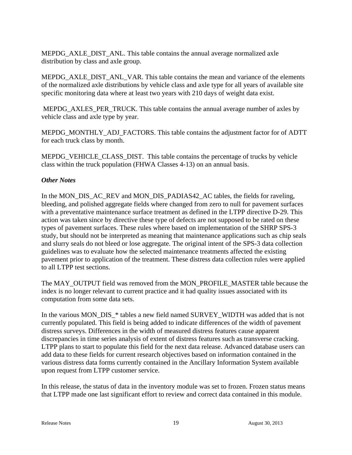MEPDG\_AXLE\_DIST\_ANL. This table contains the annual average normalized axle distribution by class and axle group.

MEPDG\_AXLE\_DIST\_ANL\_VAR. This table contains the mean and variance of the elements of the normalized axle distributions by vehicle class and axle type for all years of available site specific monitoring data where at least two years with 210 days of weight data exist.

MEPDG\_AXLES\_PER\_TRUCK. This table contains the annual average number of axles by vehicle class and axle type by year.

MEPDG\_MONTHLY\_ADJ\_FACTORS. This table contains the adjustment factor for of ADTT for each truck class by month.

MEPDG\_VEHICLE\_CLASS\_DIST. This table contains the percentage of trucks by vehicle class within the truck population (FHWA Classes 4-13) on an annual basis.

### *Other Notes*

In the MON\_DIS\_AC\_REV and MON\_DIS\_PADIAS42\_AC tables, the fields for raveling, bleeding, and polished aggregate fields where changed from zero to null for pavement surfaces with a preventative maintenance surface treatment as defined in the LTPP directive D-29. This action was taken since by directive these type of defects are not supposed to be rated on these types of pavement surfaces. These rules where based on implementation of the SHRP SPS-3 study, but should not be interpreted as meaning that maintenance applications such as chip seals and slurry seals do not bleed or lose aggregate. The original intent of the SPS-3 data collection guidelines was to evaluate how the selected maintenance treatments affected the existing pavement prior to application of the treatment. These distress data collection rules were applied to all LTPP test sections.

The MAY\_OUTPUT field was removed from the MON\_PROFILE\_MASTER table because the index is no longer relevant to current practice and it had quality issues associated with its computation from some data sets.

In the various MON\_DIS\_\* tables a new field named SURVEY\_WIDTH was added that is not currently populated. This field is being added to indicate differences of the width of pavement distress surveys. Differences in the width of measured distress features cause apparent discrepancies in time series analysis of extent of distress features such as transverse cracking. LTPP plans to start to populate this field for the next data release. Advanced database users can add data to these fields for current research objectives based on information contained in the various distress data forms currently contained in the Ancillary Information System available upon request from LTPP customer service.

In this release, the status of data in the inventory module was set to frozen. Frozen status means that LTPP made one last significant effort to review and correct data contained in this module.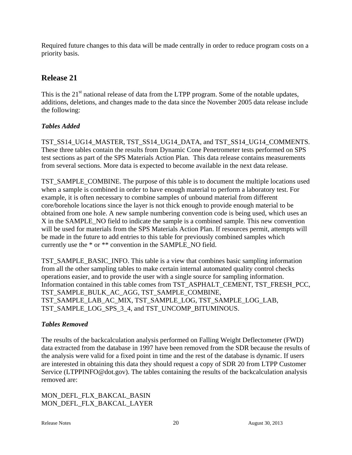Required future changes to this data will be made centrally in order to reduce program costs on a priority basis.

# **Release 21**

This is the  $21<sup>st</sup>$  national release of data from the LTPP program. Some of the notable updates, additions, deletions, and changes made to the data since the November 2005 data release include the following:

### *Tables Added*

TST\_SS14\_UG14\_MASTER, TST\_SS14\_UG14\_DATA, and TST\_SS14\_UG14\_COMMENTS. These three tables contain the results from Dynamic Cone Penetrometer tests performed on SPS test sections as part of the SPS Materials Action Plan. This data release contains measurements from several sections. More data is expected to become available in the next data release.

TST\_SAMPLE\_COMBINE. The purpose of this table is to document the multiple locations used when a sample is combined in order to have enough material to perform a laboratory test. For example, it is often necessary to combine samples of unbound material from different core/borehole locations since the layer is not thick enough to provide enough material to be obtained from one hole. A new sample numbering convention code is being used, which uses an X in the SAMPLE\_NO field to indicate the sample is a combined sample. This new convention will be used for materials from the SPS Materials Action Plan. If resources permit, attempts will be made in the future to add entries to this table for previously combined samples which currently use the \* or \*\* convention in the SAMPLE\_NO field.

TST\_SAMPLE\_BASIC\_INFO. This table is a view that combines basic sampling information from all the other sampling tables to make certain internal automated quality control checks operations easier, and to provide the user with a single source for sampling information. Information contained in this table comes from TST\_ASPHALT\_CEMENT, TST\_FRESH\_PCC, TST\_SAMPLE\_BULK\_AC\_AGG, TST\_SAMPLE\_COMBINE, TST\_SAMPLE\_LAB\_AC\_MIX, TST\_SAMPLE\_LOG, TST\_SAMPLE\_LOG\_LAB, TST\_SAMPLE\_LOG\_SPS\_3\_4, and TST\_UNCOMP\_BITUMINOUS.

### *Tables Removed*

The results of the backcalculation analysis performed on Falling Weight Deflectometer (FWD) data extracted from the database in 1997 have been removed from the SDR because the results of the analysis were valid for a fixed point in time and the rest of the database is dynamic. If users are interested in obtaining this data they should request a copy of SDR 20 from LTPP Customer Service (LTPPINFO@dot.gov). The tables containing the results of the backcalculation analysis removed are:

MON\_DEFL\_FLX\_BAKCAL\_BASIN MON\_DEFL\_FLX\_BAKCAL\_LAYER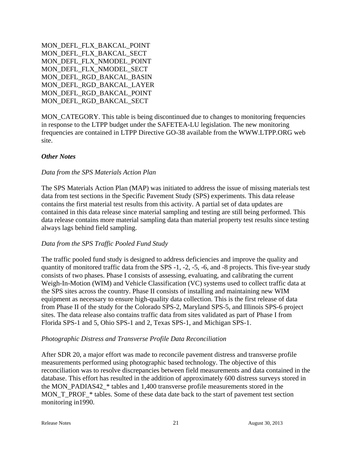```
MON_DEFL_FLX_BAKCAL_POINT 
MON_DEFL_FLX_BAKCAL_SECT 
MON_DEFL_FLX_NMODEL_POINT 
MON DEFL FLX NMODEL SECT
MON_DEFL_RGD_BAKCAL_BASIN 
MON_DEFL_RGD_BAKCAL_LAYER 
MON_DEFL_RGD_BAKCAL_POINT 
MON_DEFL_RGD_BAKCAL_SECT
```
MON\_CATEGORY. This table is being discontinued due to changes to monitoring frequencies in response to the LTPP budget under the SAFETEA-LU legislation. The new monitoring frequencies are contained in LTPP Directive GO-38 available from the WWW.LTPP.ORG web site.

### *Other Notes*

#### *Data from the SPS Materials Action Plan*

The SPS Materials Action Plan (MAP) was initiated to address the issue of missing materials test data from test sections in the Specific Pavement Study (SPS) experiments. This data release contains the first material test results from this activity. A partial set of data updates are contained in this data release since material sampling and testing are still being performed. This data release contains more material sampling data than material property test results since testing always lags behind field sampling.

#### *Data from the SPS Traffic Pooled Fund Study*

The traffic pooled fund study is designed to address deficiencies and improve the quality and quantity of monitored traffic data from the SPS -1, -2, -5, -6, and -8 projects. This five-year study consists of two phases. Phase I consists of assessing, evaluating, and calibrating the current Weigh-In-Motion (WIM) and Vehicle Classification (VC) systems used to collect traffic data at the SPS sites across the country. Phase II consists of installing and maintaining new WIM equipment as necessary to ensure high-quality data collection. This is the first release of data from Phase II of the study for the Colorado SPS-2, Maryland SPS-5, and Illinois SPS-6 project sites. The data release also contains traffic data from sites validated as part of Phase I from Florida SPS-1 and 5, Ohio SPS-1 and 2, Texas SPS-1, and Michigan SPS-1.

#### *Photographic Distress and Transverse Profile Data Reconciliation*

After SDR 20, a major effort was made to reconcile pavement distress and transverse profile measurements performed using photographic based technology. The objective of this reconciliation was to resolve discrepancies between field measurements and data contained in the database. This effort has resulted in the addition of approximately 600 distress surveys stored in the MON\_PADIAS42\_\* tables and 1,400 transverse profile measurements stored in the MON\_T\_PROF\_\* tables. Some of these data date back to the start of pavement test section monitoring in1990.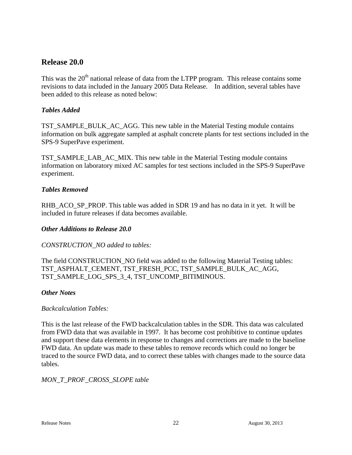### **Release 20.0**

This was the  $20<sup>th</sup>$  national release of data from the LTPP program. This release contains some revisions to data included in the January 2005 Data Release. In addition, several tables have been added to this release as noted below:

### *Tables Added*

TST\_SAMPLE\_BULK\_AC\_AGG. This new table in the Material Testing module contains information on bulk aggregate sampled at asphalt concrete plants for test sections included in the SPS-9 SuperPave experiment.

TST\_SAMPLE\_LAB\_AC\_MIX. This new table in the Material Testing module contains information on laboratory mixed AC samples for test sections included in the SPS-9 SuperPave experiment.

### *Tables Removed*

RHB\_ACO\_SP\_PROP. This table was added in SDR 19 and has no data in it yet. It will be included in future releases if data becomes available.

### *Other Additions to Release 20.0*

#### *CONSTRUCTION\_NO added to tables:*

The field CONSTRUCTION\_NO field was added to the following Material Testing tables: TST\_ASPHALT\_CEMENT, TST\_FRESH\_PCC, TST\_SAMPLE\_BULK\_AC\_AGG, TST\_SAMPLE\_LOG\_SPS\_3\_4, TST\_UNCOMP\_BITIMINOUS.

#### *Other Notes*

#### *Backcalculation Tables:*

This is the last release of the FWD backcalculation tables in the SDR. This data was calculated from FWD data that was available in 1997. It has become cost prohibitive to continue updates and support these data elements in response to changes and corrections are made to the baseline FWD data. An update was made to these tables to remove records which could no longer be traced to the source FWD data, and to correct these tables with changes made to the source data tables.

#### *MON\_T\_PROF\_CROSS\_SLOPE table*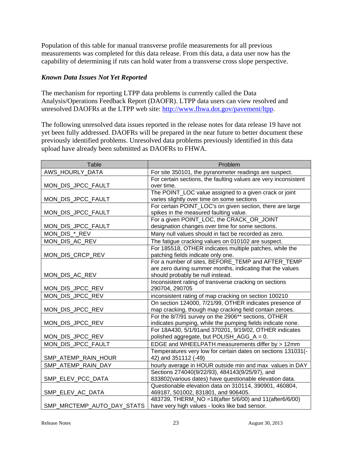Population of this table for manual transverse profile measurements for all previous measurements was completed for this data release. From this data, a data user now has the capability of determining if ruts can hold water from a transverse cross slope perspective.

### *Known Data Issues Not Yet Reported*

The mechanism for reporting LTPP data problems is currently called the Data Analysis/Operations Feedback Report (DAOFR). LTPP data users can view resolved and unresolved DAOFRs at the LTPP web site: http://www.fhwa.dot.gov/pavement/ltpp.

The following unresolved data issues reported in the release notes for data release 19 have not yet been fully addressed. DAOFRs will be prepared in the near future to better document these previously identified problems. Unresolved data problems previously identified in this data upload have already been submitted as DAOFRs to FHWA.

| <b>Table</b>               | Problem                                                         |
|----------------------------|-----------------------------------------------------------------|
| AWS_HOURLY_DATA            | For site 350101, the pyranometer readings are suspect.          |
|                            | For certain sections, the faulting values are very inconsistent |
| MON_DIS_JPCC_FAULT         | over time.                                                      |
|                            | The POINT_LOC value assigned to a given crack or joint          |
| MON_DIS_JPCC_FAULT         | varies slightly over time on some sections                      |
|                            | For certain POINT_LOC's on given section, there are large       |
| MON_DIS_JPCC_FAULT         | spikes in the measured faulting value.                          |
|                            | For a given POINT_LOC, the CRACK_OR_JOINT                       |
| MON_DIS_JPCC_FAULT         | designation changes over time for some sections.                |
| MON_DIS_*_REV              | Many null values should in fact be recorded as zero.            |
| MON_DIS_AC_REV             | The fatigue cracking values on 010102 are suspect.              |
|                            | For 185518, OTHER indicates multiple patches, while the         |
| MON_DIS_CRCP_REV           | patching fields indicate only one.                              |
|                            | For a number of sites, BEFORE TEMP and AFTER TEMP               |
|                            | are zero during summer months, indicating that the values       |
| MON_DIS_AC_REV             | should probably be null instead.                                |
|                            | Inconsistent rating of transverse cracking on sections          |
| MON_DIS_JPCC_REV           | 290704, 290705                                                  |
| MON_DIS_JPCC_REV           | inconsistent rating of map cracking on section 100210           |
|                            | On section 124000, 7/21/99, OTHER indicates presence of         |
| MON_DIS_JPCC_REV           | map cracking, though map cracking field contain zeroes.         |
|                            | For the 8/7/91 survey on the 2906** sections, OTHER             |
| MON_DIS_JPCC_REV           | indicates pumping, while the pumping fields indicate none.      |
|                            | For 18A430, 5/1/91and 370201, 9/19/02, OTHER indicates          |
| MON_DIS_JPCC_REV           | polished aggregate, but POLISH_AGG_A = 0.                       |
| MON_DIS_JPCC_FAULT         | EDGE and WHEELPATH measurements differ by > 12mm                |
|                            | Temperatures very low for certain dates on sections 131031(-    |
| SMP_ATEMP_RAIN_HOUR        | 42) and 351112 (-49)                                            |
| SMP_ATEMP_RAIN_DAY         | hourly average in HOUR outside min and max values in DAY        |
|                            | Sections 274040(9/22/93), 484143(9/25/97), and                  |
| SMP_ELEV_PCC_DATA          | 833802(various dates) have questionable elevation data.         |
|                            | Questionable elevation data on 310114, 390901, 460804,          |
| SMP_ELEV_AC_DATA           | 469187, 501002, 831801, and 906405.                             |
|                            | 483739, THERM_NO = 18(after 5/6/00) and 11(after6/6/00)         |
| SMP_MRCTEMP_AUTO_DAY_STATS | have very high values - looks like bad sensor.                  |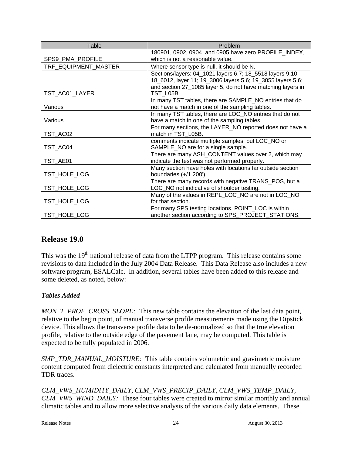| Table                | Problem                                                     |
|----------------------|-------------------------------------------------------------|
|                      | 180901, 0902, 0904, and 0905 have zero PROFILE_INDEX,       |
| SPS9_PMA_PROFILE     | which is not a reasonable value.                            |
| TRF_EQUIPMENT_MASTER | Where sensor type is null, it should be N.                  |
|                      | Sections/layers: 04_1021 layers 6,7; 18_5518 layers 9,10;   |
|                      | 18_6012, layer 11; 19_3006 layers 5,6; 19_3055 layers 5,6;  |
|                      | and section 27_1085 layer 5, do not have matching layers in |
| TST_AC01_LAYER       | TST L05B                                                    |
|                      | In many TST tables, there are SAMPLE_NO entries that do     |
| Various              | not have a match in one of the sampling tables.             |
|                      | In many TST tables, there are LOC_NO entries that do not    |
| Various              | have a match in one of the sampling tables.                 |
|                      | For many sections, the LAYER_NO reported does not have a    |
| TST_AC02             | match in TST_L05B.                                          |
|                      | comments indicate multiple samples, but LOC NO or           |
| TST_AC04             | SAMPLE_NO are for a single sample.                          |
|                      | There are many ASH_CONTENT values over 2, which may         |
| TST_AE01             | indicate the test was not performed properly.               |
|                      | Many section have holes with locations far outside section  |
| TST_HOLE_LOG         | boundaries (+/1 200').                                      |
|                      | There are many records with negative TRANS_POS, but a       |
| TST_HOLE_LOG         | LOC_NO not indicative of shoulder testing.                  |
|                      | Many of the values in REPL_LOC_NO are not in LOC_NO         |
| TST_HOLE_LOG         | for that section.                                           |
|                      | For many SPS testing locations, POINT_LOC is within         |
| TST_HOLE_LOG         | another section according to SPS_PROJECT_STATIONS.          |

# **Release 19.0**

This was the 19<sup>th</sup> national release of data from the LTPP program. This release contains some revisions to data included in the July 2004 Data Release. This Data Release also includes a new software program, ESALCalc. In addition, several tables have been added to this release and some deleted, as noted, below:

### *Tables Added*

*MON\_T\_PROF\_CROSS\_SLOPE:* This new table contains the elevation of the last data point, relative to the begin point, of manual transverse profile measurements made using the Dipstick device. This allows the transverse profile data to be de-normalized so that the true elevation profile, relative to the outside edge of the pavement lane, may be computed. This table is expected to be fully populated in 2006.

*SMP\_TDR\_MANUAL\_MOISTURE:* This table contains volumetric and gravimetric moisture content computed from dielectric constants interpreted and calculated from manually recorded TDR traces.

*CLM\_VWS\_HUMIDITY\_DAILY, CLM\_VWS\_PRECIP\_DAILY, CLM\_VWS\_TEMP\_DAILY, CLM\_VWS\_WIND\_DAILY:* These four tables were created to mirror similar monthly and annual climatic tables and to allow more selective analysis of the various daily data elements. These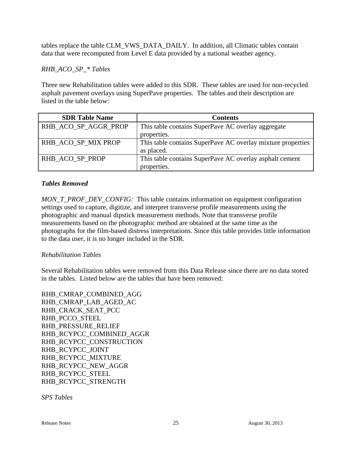tables replace the table CLM\_VWS\_DATA\_DAILY. In addition, all Climatic tables contain data that were recomputed from Level E data provided by a national weather agency.

### *RHB\_ACO\_SP\_\* Tables*

Three new Rehabilitation tables were added to this SDR. These tables are used for non-recycled asphalt pavement overlays using SuperPave properties. The tables and their description are listed in the table below:

| <b>SDR Table Name</b> | <b>Contents</b>                                             |
|-----------------------|-------------------------------------------------------------|
| RHB_ACO_SP_AGGR_PROP  | This table contains SuperPave AC overlay aggregate          |
|                       | properties.                                                 |
| RHB_ACO_SP_MIX PROP   | This table contains SuperPave AC overlay mixture properties |
|                       | as placed.                                                  |
| RHB ACO SP PROP       | This table contains SuperPave AC overlay asphalt cement     |
|                       | properties.                                                 |

### *Tables Removed*

*MON\_T\_PROF\_DEV\_CONFIG:* This table contains information on equipment configuration settings used to capture, digitize, and interpret transverse profile measurements using the photographic and manual dipstick measurement methods. Note that transverse profile measurements based on the photographic method are obtained at the same time as the photographs for the film-based distress interpretations. Since this table provides little information to the data user, it is no longer included in the SDR.

### *Rehabilitation Tables*

Several Rehabilitation tables were removed from this Data Release since there are no data stored in the tables. Listed below are the tables that have been removed:

RHB\_CMRAP\_COMBINED\_AGG RHB\_CMRAP\_LAB\_AGED\_AC RHB\_CRACK\_SEAT\_PCC RHB\_PCCO\_STEEL RHB\_PRESSURE\_RELIEF RHB\_RCYPCC\_COMBINED\_AGGR RHB\_RCYPCC\_CONSTRUCTION RHB\_RCYPCC\_JOINT RHB\_RCYPCC\_MIXTURE RHB\_RCYPCC\_NEW\_AGGR RHB\_RCYPCC\_STEEL RHB\_RCYPCC\_STRENGTH

*SPS Tables*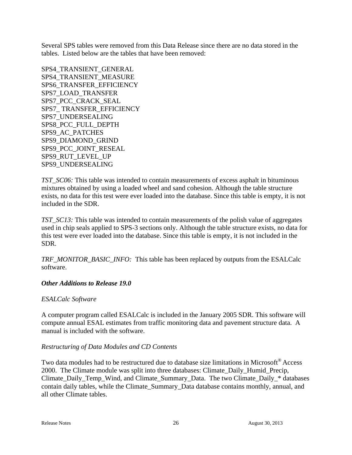Several SPS tables were removed from this Data Release since there are no data stored in the tables. Listed below are the tables that have been removed:

SPS4\_TRANSIENT\_GENERAL SPS4\_TRANSIENT\_MEASURE SPS6\_TRANSFER\_EFFICIENCY SPS7\_LOAD\_TRANSFER SPS7\_PCC\_CRACK\_SEAL SPS7\_ TRANSFER\_EFFICIENCY SPS7\_UNDERSEALING SPS8\_PCC\_FULL\_DEPTH SPS9\_AC\_PATCHES SPS9\_DIAMOND\_GRIND SPS9\_PCC\_JOINT\_RESEAL SPS9\_RUT\_LEVEL\_UP SPS9\_UNDERSEALING

*TST\_SC06:* This table was intended to contain measurements of excess asphalt in bituminous mixtures obtained by using a loaded wheel and sand cohesion. Although the table structure exists, no data for this test were ever loaded into the database. Since this table is empty, it is not included in the SDR.

*TST\_SC13:* This table was intended to contain measurements of the polish value of aggregates used in chip seals applied to SPS-3 sections only. Although the table structure exists, no data for this test were ever loaded into the database. Since this table is empty, it is not included in the SDR.

*TRF\_MONITOR\_BASIC\_INFO:* This table has been replaced by outputs from the ESALCalc software.

### *Other Additions to Release 19.0*

#### *ESALCalc Software*

A computer program called ESALCalc is included in the January 2005 SDR. This software will compute annual ESAL estimates from traffic monitoring data and pavement structure data. A manual is included with the software.

#### *Restructuring of Data Modules and CD Contents*

Two data modules had to be restructured due to database size limitations in Microsoft® Access 2000. The Climate module was split into three databases: Climate\_Daily\_Humid\_Precip, Climate\_Daily\_Temp\_Wind, and Climate\_Summary\_Data. The two Climate\_Daily\_\* databases contain daily tables, while the Climate\_Summary\_Data database contains monthly, annual, and all other Climate tables.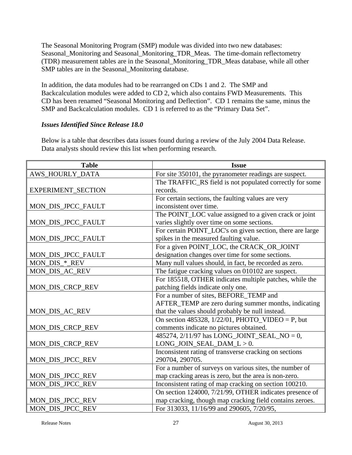The Seasonal Monitoring Program (SMP) module was divided into two new databases: Seasonal\_Monitoring and Seasonal\_Monitoring\_TDR\_Meas. The time-domain reflectometry (TDR) measurement tables are in the Seasonal\_Monitoring\_TDR\_Meas database, while all other SMP tables are in the Seasonal\_Monitoring database.

In addition, the data modules had to be rearranged on CDs 1 and 2. The SMP and Backcalculation modules were added to CD 2, which also contains FWD Measurements. This CD has been renamed "Seasonal Monitoring and Deflection". CD 1 remains the same, minus the SMP and Backcalculation modules. CD 1 is referred to as the "Primary Data Set".

### *Issues Identified Since Release 18.0*

Below is a table that describes data issues found during a review of the July 2004 Data Release. Data analysts should review this list when performing research.

| <b>Table</b>       | <b>Issue</b>                                              |
|--------------------|-----------------------------------------------------------|
| AWS_HOURLY_DATA    | For site 350101, the pyranometer readings are suspect.    |
|                    | The TRAFFIC_RS field is not populated correctly for some  |
| EXPERIMENT_SECTION | records.                                                  |
|                    | For certain sections, the faulting values are very        |
| MON_DIS_JPCC_FAULT | inconsistent over time.                                   |
|                    | The POINT_LOC value assigned to a given crack or joint    |
| MON_DIS_JPCC_FAULT | varies slightly over time on some sections.               |
|                    | For certain POINT_LOC's on given section, there are large |
| MON_DIS_JPCC_FAULT | spikes in the measured faulting value.                    |
|                    | For a given POINT_LOC, the CRACK_OR_JOINT                 |
| MON_DIS_JPCC_FAULT | designation changes over time for some sections.          |
| MON_DIS_*_REV      | Many null values should, in fact, be recorded as zero.    |
| MON_DIS_AC_REV     | The fatigue cracking values on 010102 are suspect.        |
|                    | For 185518, OTHER indicates multiple patches, while the   |
| MON_DIS_CRCP_REV   | patching fields indicate only one.                        |
|                    | For a number of sites, BEFORE_TEMP and                    |
|                    | AFTER_TEMP are zero during summer months, indicating      |
| MON_DIS_AC_REV     | that the values should probably be null instead.          |
|                    | On section 485328, $1/22/01$ , PHOTO_VIDEO = P, but       |
| MON_DIS_CRCP_REV   | comments indicate no pictures obtained.                   |
|                    | 485274, 2/11/97 has LONG_JOINT_SEAL_NO = 0,               |
| MON_DIS_CRCP_REV   | $LONG_JOIN_SEAL_DAM_L > 0.$                               |
|                    | Inconsistent rating of transverse cracking on sections    |
| MON_DIS_JPCC_REV   | 290704, 290705.                                           |
|                    | For a number of surveys on various sites, the number of   |
| MON_DIS_JPCC_REV   | map cracking areas is zero, but the area is non-zero.     |
| MON_DIS_JPCC_REV   | Inconsistent rating of map cracking on section 100210.    |
|                    | On section 124000, 7/21/99, OTHER indicates presence of   |
| MON_DIS_JPCC_REV   | map cracking, though map cracking field contains zeroes.  |
| MON DIS JPCC REV   | For 313033, 11/16/99 and 290605, 7/20/95,                 |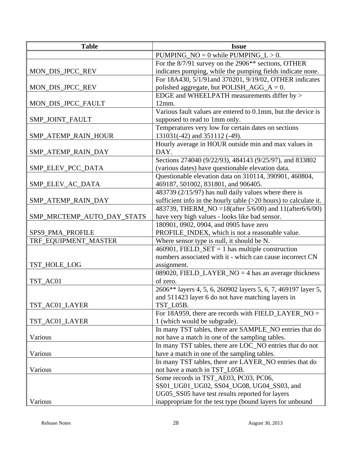| <b>Table</b>               | <b>Issue</b>                                                     |
|----------------------------|------------------------------------------------------------------|
|                            | PUMPING_NO = $0$ while PUMPING_L > 0.                            |
|                            | For the 8/7/91 survey on the 2906 <sup>**</sup> sections, OTHER  |
| MON_DIS_JPCC_REV           | indicates pumping, while the pumping fields indicate none.       |
|                            | For 18A430, 5/1/91 and 370201, 9/19/02, OTHER indicates          |
| MON_DIS_JPCC_REV           | polished aggregate, but POLISH_AGG_ $A = 0$ .                    |
|                            | EDGE and WHEELPATH measurements differ by >                      |
| MON_DIS_JPCC_FAULT         | 12mm.                                                            |
|                            | Various fault values are entered to 0.1mm, but the device is     |
| SMP_JOINT_FAULT            | supposed to read to 1mm only.                                    |
|                            | Temperatures very low for certain dates on sections              |
| SMP_ATEMP_RAIN_HOUR        | 131031(-42) and 351112 (-49).                                    |
|                            | Hourly average in HOUR outside min and max values in             |
| SMP_ATEMP_RAIN_DAY         | DAY.                                                             |
|                            | Sections 274040 (9/22/93), 484143 (9/25/97), and 833802          |
| SMP_ELEV_PCC_DATA          | (various dates) have questionable elevation data.                |
|                            | Questionable elevation data on 310114, 390901, 460804,           |
| SMP_ELEV_AC_DATA           | 469187, 501002, 831801, and 906405.                              |
|                            | 483739 (2/15/97) has null daily values where there is            |
| SMP_ATEMP_RAIN_DAY         | sufficient info in the hourly table (>20 hours) to calculate it. |
|                            | 483739, THERM NO = 18(after 5/6/00) and 11(after 6/6/00)         |
| SMP_MRCTEMP_AUTO_DAY_STATS | have very high values - looks like bad sensor.                   |
|                            | 180901, 0902, 0904, and 0905 have zero                           |
| SPS9_PMA_PROFILE           | PROFILE_INDEX, which is not a reasonable value.                  |
| TRF_EQUIPMENT_MASTER       | Where sensor type is null, it should be N.                       |
|                            | 460901, FIELD_SET = 1 has multiple construction                  |
|                            | numbers associated with it - which can cause incorrect CN        |
| TST_HOLE_LOG               | assignment.                                                      |
|                            | 089020, FIELD_LAYER_NO = $4$ has an average thickness            |
| TST AC01                   | of zero.                                                         |
|                            | 2606** layers 4, 5, 6, 260902 layers 5, 6, 7, 469197 layer 5,    |
|                            | and 511423 layer 6 do not have matching layers in                |
| TST_AC01_LAYER             | TST_L05B.                                                        |
|                            | For 18A959, there are records with FIELD_LAYER_NO =              |
| TST_AC01_LAYER             | 1 (which would be subgrade).                                     |
|                            | In many TST tables, there are SAMPLE_NO entries that do          |
| Various                    | not have a match in one of the sampling tables.                  |
|                            | In many TST tables, there are LOC_NO entries that do not         |
| Various                    | have a match in one of the sampling tables.                      |
|                            | In many TST tables, there are LAYER_NO entries that do           |
| Various                    | not have a match in TST_L05B.                                    |
|                            | Some records in TST_AE03, PC03, PC06,                            |
|                            | SS01_UG01_UG02, SS04_UG08, UG04_SS03, and                        |
|                            | UG05_SS05 have test results reported for layers                  |
| Various                    | inappropriate for the test type (bound layers for unbound        |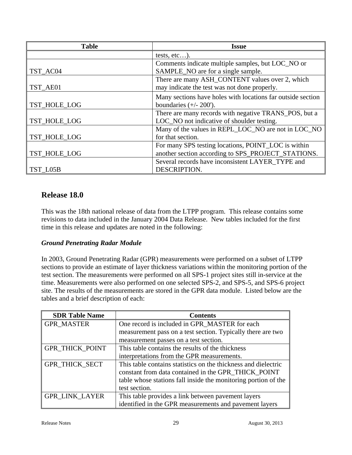| <b>Table</b> | <b>Issue</b>                                                |
|--------------|-------------------------------------------------------------|
|              | tests, $etc$ ).                                             |
|              | Comments indicate multiple samples, but LOC_NO or           |
| TST_AC04     | SAMPLE_NO are for a single sample.                          |
|              | There are many ASH_CONTENT values over 2, which             |
| TST_AE01     | may indicate the test was not done properly.                |
|              | Many sections have holes with locations far outside section |
| TST_HOLE_LOG | boundaries $(+/- 200')$ .                                   |
|              | There are many records with negative TRANS_POS, but a       |
| TST_HOLE_LOG | LOC_NO not indicative of shoulder testing.                  |
|              | Many of the values in REPL_LOC_NO are not in LOC_NO         |
| TST_HOLE_LOG | for that section.                                           |
|              | For many SPS testing locations, POINT_LOC is within         |
| TST_HOLE_LOG | another section according to SPS_PROJECT_STATIONS.          |
|              | Several records have inconsistent LAYER TYPE and            |
| TST L05B     | DESCRIPTION.                                                |

### **Release 18.0**

This was the 18th national release of data from the LTPP program. This release contains some revisions to data included in the January 2004 Data Release. New tables included for the first time in this release and updates are noted in the following:

### *Ground Penetrating Radar Module*

In 2003, Ground Penetrating Radar (GPR) measurements were performed on a subset of LTPP sections to provide an estimate of layer thickness variations within the monitoring portion of the test section. The measurements were performed on all SPS-1 project sites still in-service at the time. Measurements were also performed on one selected SPS-2, and SPS-5, and SPS-6 project site. The results of the measurements are stored in the GPR data module. Listed below are the tables and a brief description of each:

| <b>SDR Table Name</b>  | <b>Contents</b>                                                |
|------------------------|----------------------------------------------------------------|
| <b>GPR MASTER</b>      | One record is included in GPR_MASTER for each                  |
|                        | measurement pass on a test section. Typically there are two    |
|                        | measurement passes on a test section.                          |
| <b>GPR_THICK_POINT</b> | This table contains the results of the thickness               |
|                        | interpretations from the GPR measurements.                     |
| <b>GPR THICK SECT</b>  | This table contains statistics on the thickness and dielectric |
|                        | constant from data contained in the GPR_THICK_POINT            |
|                        | table whose stations fall inside the monitoring portion of the |
|                        | test section.                                                  |
| <b>GPR LINK LAYER</b>  | This table provides a link between pavement layers             |
|                        | identified in the GPR measurements and pavement layers         |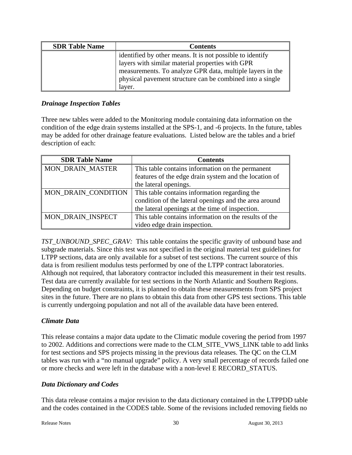| <b>SDR Table Name</b> | <b>Contents</b>                                           |
|-----------------------|-----------------------------------------------------------|
|                       | identified by other means. It is not possible to identify |
|                       | layers with similar material properties with GPR          |
|                       | measurements. To analyze GPR data, multiple layers in the |
|                       | physical pavement structure can be combined into a single |
|                       | layer.                                                    |

### *Drainage Inspection Tables*

Three new tables were added to the Monitoring module containing data information on the condition of the edge drain systems installed at the SPS-1, and -6 projects. In the future, tables may be added for other drainage feature evaluations. Listed below are the tables and a brief description of each:

| <b>SDR Table Name</b>   | <b>Contents</b>                                       |
|-------------------------|-------------------------------------------------------|
| <b>MON DRAIN MASTER</b> | This table contains information on the permanent      |
|                         | features of the edge drain system and the location of |
|                         | the lateral openings.                                 |
| MON_DRAIN_CONDITION     | This table contains information regarding the         |
|                         | condition of the lateral openings and the area around |
|                         | the lateral openings at the time of inspection.       |
| MON_DRAIN_INSPECT       | This table contains information on the results of the |
|                         | video edge drain inspection.                          |

*TST\_UNBOUND\_SPEC\_GRAV:* This table contains the specific gravity of unbound base and subgrade materials. Since this test was not specified in the original material test guidelines for LTPP sections, data are only available for a subset of test sections. The current source of this data is from resilient modulus tests performed by one of the LTPP contract laboratories. Although not required, that laboratory contractor included this measurement in their test results. Test data are currently available for test sections in the North Atlantic and Southern Regions. Depending on budget constraints, it is planned to obtain these measurements from SPS project sites in the future. There are no plans to obtain this data from other GPS test sections. This table is currently undergoing population and not all of the available data have been entered.

### *Climate Data*

This release contains a major data update to the Climatic module covering the period from 1997 to 2002. Additions and corrections were made to the CLM\_SITE\_VWS\_LINK table to add links for test sections and SPS projects missing in the previous data releases. The QC on the CLM tables was run with a "no manual upgrade" policy. A very small percentage of records failed one or more checks and were left in the database with a non-level E RECORD\_STATUS.

#### *Data Dictionary and Codes*

This data release contains a major revision to the data dictionary contained in the LTPPDD table and the codes contained in the CODES table. Some of the revisions included removing fields no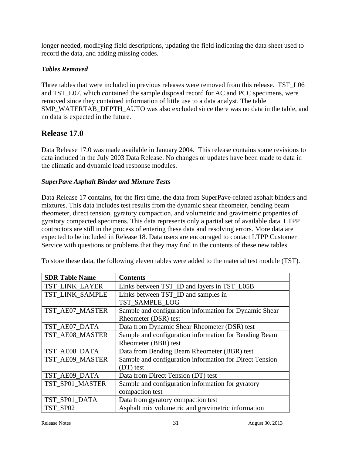longer needed, modifying field descriptions, updating the field indicating the data sheet used to record the data, and adding missing codes.

### *Tables Removed*

Three tables that were included in previous releases were removed from this release. TST\_L06 and TST\_L07, which contained the sample disposal record for AC and PCC specimens, were removed since they contained information of little use to a data analyst. The table SMP\_WATERTAB\_DEPTH\_AUTO was also excluded since there was no data in the table, and no data is expected in the future.

### **Release 17.0**

Data Release 17.0 was made available in January 2004. This release contains some revisions to data included in the July 2003 Data Release. No changes or updates have been made to data in the climatic and dynamic load response modules.

### *SuperPave Asphalt Binder and Mixture Tests*

Data Release 17 contains, for the first time, the data from SuperPave-related asphalt binders and mixtures. This data includes test results from the dynamic shear rheometer, bending beam rheometer, direct tension, gyratory compaction, and volumetric and gravimetric properties of gyratory compacted specimens. This data represents only a partial set of available data. LTPP contractors are still in the process of entering these data and resolving errors. More data are expected to be included in Release 18. Data users are encouraged to contact LTPP Customer Service with questions or problems that they may find in the contents of these new tables.

To store these data, the following eleven tables were added to the material test module (TST).

| <b>SDR Table Name</b> | <b>Contents</b>                                         |
|-----------------------|---------------------------------------------------------|
| TST_LINK_LAYER        | Links between TST_ID and layers in TST_L05B             |
| TST LINK SAMPLE       | Links between TST_ID and samples in                     |
|                       | TST SAMPLE LOG                                          |
| TST AE07 MASTER       | Sample and configuration information for Dynamic Shear  |
|                       | Rheometer (DSR) test                                    |
| TST_AE07_DATA         | Data from Dynamic Shear Rheometer (DSR) test            |
| TST_AE08_MASTER       | Sample and configuration information for Bending Beam   |
|                       | Rheometer (BBR) test                                    |
| TST_AE08_DATA         | Data from Bending Beam Rheometer (BBR) test             |
| TST AE09 MASTER       | Sample and configuration information for Direct Tension |
|                       | $(DT)$ test                                             |
| TST_AE09_DATA         | Data from Direct Tension (DT) test                      |
| TST_SP01_MASTER       | Sample and configuration information for gyratory       |
|                       | compaction test                                         |
| TST_SP01_DATA         | Data from gyratory compaction test                      |
| TST SP02              | Asphalt mix volumetric and gravimetric information      |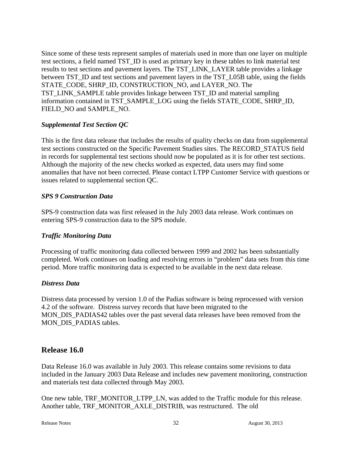Since some of these tests represent samples of materials used in more than one layer on multiple test sections, a field named TST\_ID is used as primary key in these tables to link material test results to test sections and pavement layers. The TST\_LINK\_LAYER table provides a linkage between TST\_ID and test sections and pavement layers in the TST\_L05B table, using the fields STATE\_CODE, SHRP\_ID, CONSTRUCTION\_NO, and LAYER\_NO. The TST\_LINK\_SAMPLE table provides linkage between TST\_ID and material sampling information contained in TST\_SAMPLE\_LOG using the fields STATE\_CODE, SHRP\_ID, FIELD\_NO and SAMPLE\_NO.

### *Supplemental Test Section QC*

This is the first data release that includes the results of quality checks on data from supplemental test sections constructed on the Specific Pavement Studies sites. The RECORD\_STATUS field in records for supplemental test sections should now be populated as it is for other test sections. Although the majority of the new checks worked as expected, data users may find some anomalies that have not been corrected. Please contact LTPP Customer Service with questions or issues related to supplemental section QC.

### *SPS 9 Construction Data*

SPS-9 construction data was first released in the July 2003 data release. Work continues on entering SPS-9 construction data to the SPS module.

#### *Traffic Monitoring Data*

Processing of traffic monitoring data collected between 1999 and 2002 has been substantially completed. Work continues on loading and resolving errors in "problem" data sets from this time period. More traffic monitoring data is expected to be available in the next data release.

#### *Distress Data*

Distress data processed by version 1.0 of the Padias software is being reprocessed with version 4.2 of the software. Distress survey records that have been migrated to the MON\_DIS\_PADIAS42 tables over the past several data releases have been removed from the MON DIS PADIAS tables.

### **Release 16.0**

Data Release 16.0 was available in July 2003. This release contains some revisions to data included in the January 2003 Data Release and includes new pavement monitoring, construction and materials test data collected through May 2003.

One new table, TRF\_MONITOR\_LTPP\_LN, was added to the Traffic module for this release. Another table, TRF\_MONITOR\_AXLE\_DISTRIB, was restructured. The old